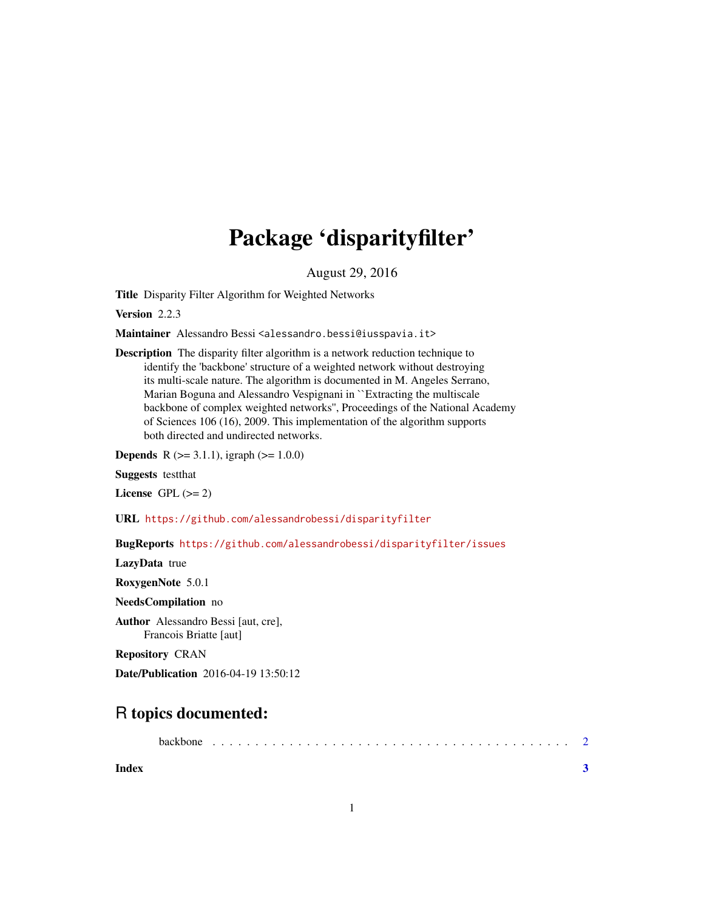## Package 'disparityfilter'

August 29, 2016

<span id="page-0-0"></span>Title Disparity Filter Algorithm for Weighted Networks

Version 2.2.3

Maintainer Alessandro Bessi <alessandro.bessi@iusspavia.it>

Description The disparity filter algorithm is a network reduction technique to identify the 'backbone' structure of a weighted network without destroying its multi-scale nature. The algorithm is documented in M. Angeles Serrano, Marian Boguna and Alessandro Vespignani in ``Extracting the multiscale backbone of complex weighted networks'', Proceedings of the National Academy of Sciences 106 (16), 2009. This implementation of the algorithm supports both directed and undirected networks.

**Depends** R  $(>= 3.1.1)$ , igraph  $(>= 1.0.0)$ 

Suggests testthat

License GPL  $(>= 2)$ 

URL <https://github.com/alessandrobessi/disparityfilter>

BugReports <https://github.com/alessandrobessi/disparityfilter/issues>

LazyData true

RoxygenNote 5.0.1

NeedsCompilation no

Author Alessandro Bessi [aut, cre], Francois Briatte [aut]

Repository CRAN

Date/Publication 2016-04-19 13:50:12

### R topics documented:

|       | <b>backbone</b> |  |  |  |  |  |  |  |  |  |  |  |  |  |  |  |  |  |  |
|-------|-----------------|--|--|--|--|--|--|--|--|--|--|--|--|--|--|--|--|--|--|
| Index |                 |  |  |  |  |  |  |  |  |  |  |  |  |  |  |  |  |  |  |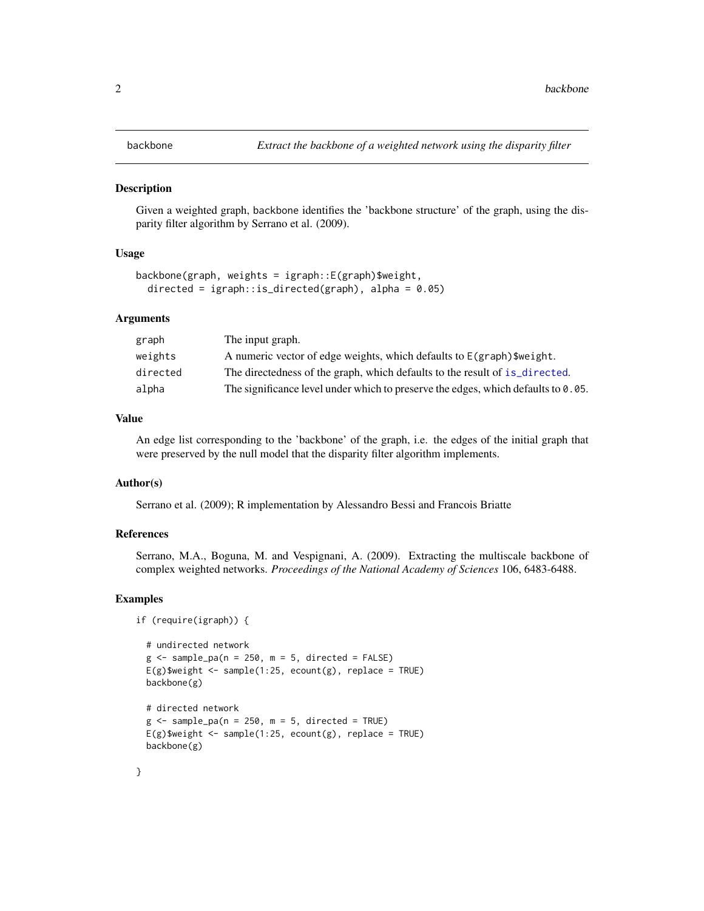<span id="page-1-0"></span>

#### **Description**

Given a weighted graph, backbone identifies the 'backbone structure' of the graph, using the disparity filter algorithm by Serrano et al. (2009).

#### Usage

```
backbone(graph, weights = igraph::E(graph)$weight,
 directed = igraph::is_directed(graph), alpha = 0.05)
```
#### Arguments

| The input graph.                                                                  |
|-----------------------------------------------------------------------------------|
| A numeric vector of edge weights, which defaults to $E(\text{graph})$ weight.     |
| The directedness of the graph, which defaults to the result of is_directed.       |
| The significance level under which to preserve the edges, which defaults to 0.05. |
|                                                                                   |

#### Value

An edge list corresponding to the 'backbone' of the graph, i.e. the edges of the initial graph that were preserved by the null model that the disparity filter algorithm implements.

#### Author(s)

Serrano et al. (2009); R implementation by Alessandro Bessi and Francois Briatte

#### References

Serrano, M.A., Boguna, M. and Vespignani, A. (2009). Extracting the multiscale backbone of complex weighted networks. *Proceedings of the National Academy of Sciences* 106, 6483-6488.

#### Examples

```
if (require(igraph)) {
```

```
# undirected network
g \le - sample_pa(n = 250, m = 5, directed = FALSE)
E(g)$weight <- sample(1:25, ecount(g), replace = TRUE)
backbone(g)
# directed network
g \le - sample_pa(n = 250, m = 5, directed = TRUE)
E(g)$weight <- sample(1:25, ecount(g), replace = TRUE)
backbone(g)
```